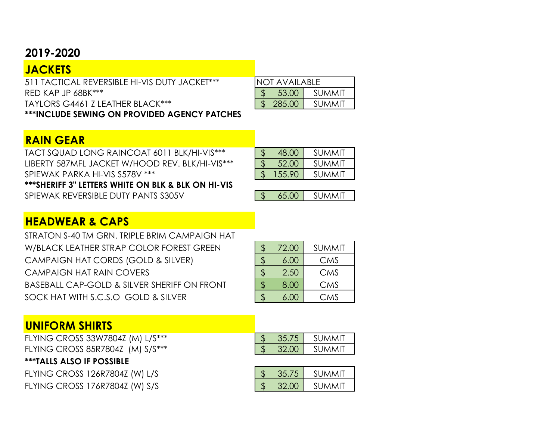#### **2019-2020**

| <b>JACKETS</b>                                      |                       |        |
|-----------------------------------------------------|-----------------------|--------|
| 511 TACTICAL REVERSIBLE HI-VIS DUTY JACKET***       | <b>INOT AVAILABLE</b> |        |
| $RFD$ KAP JP 68BK $***$                             | 53.00                 | summit |
| TAYLORS G4461 Z LEATHER BLACK***                    | 285.00                | SUMMIT |
| <b>***INCLUDE SEWING ON PROVIDED AGENCY PATCHES</b> |                       |        |

### **RAIN GEAR**

TACT SQUAD LONG RAINCOAT 6011 BLK/HI-VIS\*\*\* LIBERTY 587MFL JACKET W/HOOD REV. BLK/HI-VIS\*\*\* SPIEWAK PARKA HI-VIS S578V \*\*\*

| 48.00 | SUMMIT |
|-------|--------|
|       |        |
| 52.00 | SUMMIT |
|       | SUMMIT |

**\*\*\*SHERIFF 3" LETTERS WHITE ON BLK & BLK ON HI-VIS**

SPIEWAK REVERSIBLE DUTY PANTS S305V

|  | ۸H |
|--|----|

# **HEADWEAR & CAPS**

STRATON S-40 TM GRN. TRIPLE BRIM CAMPAIGN HAT W/BLACK LEATHER STRAP COLOR FOREST GREEN CAMPAIGN HAT CORDS (GOLD & SILVER) CAMPAIGN HAT RAIN COVERS BASEBALL CAP-GOLD & SILVER SHERIFF ON FRONT SOCK HAT WITH S.C.S.O GOLD & SILVER

| \$<br>72.00 | SUMMIT |
|-------------|--------|
| \$<br>6.00  | CMS    |
| \$<br>2.50  | CMS    |
| \$<br>8.00  | CMS    |
| 6.00        | CMS    |

## **UNIFORM SHIRTS**

FLYING CROSS 33W7804Z (M) L/S\*\*\* FLYING CROSS 85R7804Z (M) S/S\*\*\*

**\*\*\*TALLS ALSO IF POSSIBLE**

FLYING CROSS 126R7804Z (W) L/S FLYING CROSS 176R7804Z (W) S/S

|  | SUMMIT |
|--|--------|
|  | SUMMIT |

|      | <b>SUMMIT</b> |
|------|---------------|
| וויצ | <b>SUMMIT</b> |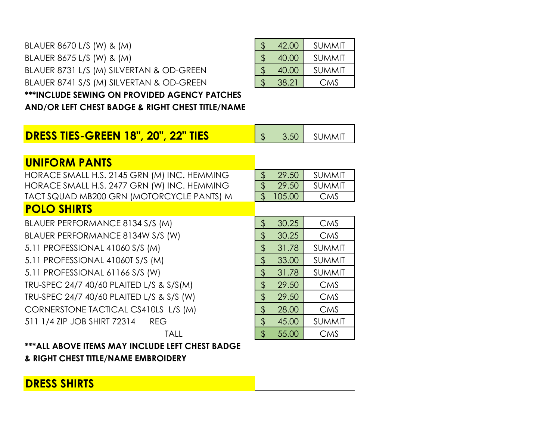#### BLAUER 8670 L/S (W) & (M) BLAUER 8675 L/S (W) & (M) BLAUER 8731 L/S (M) SILVERTAN & OD-GREEN BLAUER 8741 S/S (M) SILVERTAN & OD-GREEN **\*\*\*INCLUDE SEWING ON PROVIDED AGENCY PATCHES**

| Ъ | 42.00 | <b>SUMMIT</b> |
|---|-------|---------------|
| Ъ | 40.00 | <b>SUMMIT</b> |
| Ψ | 40.00 | <b>SUMMIT</b> |
|   | 38.21 | <b>CMS</b>    |
|   |       |               |

**AND/OR LEFT CHEST BADGE & RIGHT CHEST TITLE/NAME**

| <b>DRESS TIES-GREEN 18", 20", 22" TIES</b> | $\begin{array}{ c c c c c } \hline \text{S} & \text{3.50} & \text{SUMMIT} \hline \end{array}$ |
|--------------------------------------------|-----------------------------------------------------------------------------------------------|

#### **UNIFORM PANTS**

HORACE SMALL H.S. 2145 GRN (M) INC. HEMMING HORACE SMALL H.S. 2477 GRN (W) INC. HEMMING TACT SQUAD MB200 GRN (MOTORCYCLE PANTS) M

| 29.50  | <b>SUMMIT</b> |
|--------|---------------|
| 29.50  | <b>SUMMIT</b> |
| 105.00 | CMS           |

## **POLO SHIRTS**

| <u>I VLV JHINIJ</u>                       |             |               |
|-------------------------------------------|-------------|---------------|
| BLAUER PERFORMANCE 8134 S/S (M)           | \$<br>30.25 | <b>CMS</b>    |
| BLAUER PERFORMANCE 8134W S/S (W)          | \$<br>30.25 | <b>CMS</b>    |
| 5.11 PROFESSIONAL 41060 S/S (M)           | \$<br>31.78 | <b>SUMMIT</b> |
| 5.11 PROFESSIONAL 41060T S/S (M)          | \$<br>33.00 | <b>SUMMIT</b> |
| 5.11 PROFESSIONAL 61166 S/S (W)           | \$<br>31.78 | <b>SUMMIT</b> |
| TRU-SPEC 24/7 40/60 PLAITED L/S & S/S(M)  | \$<br>29.50 | <b>CMS</b>    |
| TRU-SPEC 24/7 40/60 PLAITED L/S & S/S (W) | \$<br>29.50 | <b>CMS</b>    |
| CORNERSTONE TACTICAL CS410LS L/S (M)      | \$<br>28.00 | <b>CMS</b>    |
| 511 1/4 ZIP JOB SHIRT 72314 REG           | \$<br>45.00 | <b>SUMMIT</b> |
| <b>TALL</b>                               | \$<br>55.00 | <b>CMS</b>    |

**\*\*\*ALL ABOVE ITEMS MAY INCLUDE LEFT CHEST BADGE & RIGHT CHEST TITLE/NAME EMBROIDERY**

### **DRESS SHIRTS**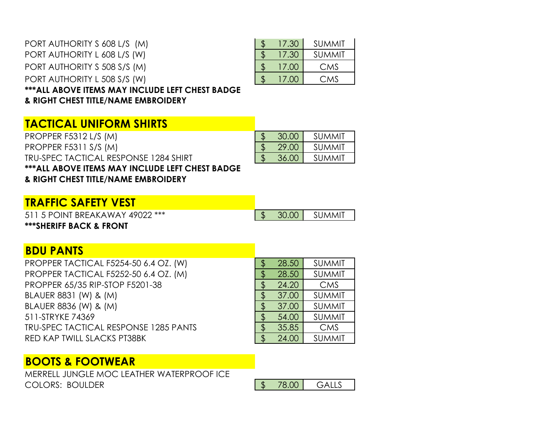| PORT AUTHORITY S 608 L/S (M)                     | 17.30 | SUMMIT        |
|--------------------------------------------------|-------|---------------|
| PORT AUTHORITY L 608 L/S (W)                     | 17.30 | <b>SUMMIT</b> |
| PORT AUTHORITY S 508 S/S (M)                     | 17.00 | <b>CMS</b>    |
| PORT AUTHORITY L 508 S/S (W)                     | 17.00 | <b>CMS</b>    |
| *** ALL ABOVE ITEMS MAY INCLUDE LEFT CHEST BADGE |       |               |
| & RIGHT CHEST TITLE/NAME EMBROIDERY              |       |               |

|  | UC. \ I | <b>JUIVIIVII</b> |
|--|---------|------------------|
|  | 17.00   | CMS              |
|  | 17.00   | CMS              |
|  |         |                  |

#### **TACTICAL UNIFORM SHIRTS**

PROPPER F5312 L/S (M) 6 and 5 30.00 SUMMIT PROPPER F5311 S/S (M) 6 29.00 SUMMIT TRU-SPEC TACTICAL RESPONSE 1284 SHIRT  $\frac{1}{3}$  36.00 SUMMIT **\*\*\*ALL ABOVE ITEMS MAY INCLUDE LEFT CHEST BADGE & RIGHT CHEST TITLE/NAME EMBROIDERY**

| <u>TRAFFIC SAFETY VEST</u> |  |  |  |  |  |  |  |
|----------------------------|--|--|--|--|--|--|--|
|----------------------------|--|--|--|--|--|--|--|

511 5 POINT BREAKAWAY 49022 \*\*\* **\*\*\*SHERIFF BACK & FRONT**

| ш.<br>. |
|---------|
|---------|

### **BDU PANTS**

PROPPER TACTICAL F5254-50 6.4 OZ. (W) PROPPER TACTICAL F5252-50 6.4 OZ. (M) PROPPER 65/35 RIP-STOP F5201-38 BLAUER 8831 (W) & (M) BLAUER 8836 (W) & (M) 511-STRYKE 74369 TRU-SPEC TACTICAL RESPONSE 1285 PANTS RED KAP TWILL SLACKS PT38BK

| \$            | 28.50 | <b>SUMMIT</b> |
|---------------|-------|---------------|
| $\frac{1}{2}$ | 28.50 | <b>SUMMIT</b> |
| \$            | 24.20 | <b>CMS</b>    |
| \$            | 37.00 | <b>SUMMIT</b> |
| \$            | 37.00 | <b>SUMMIT</b> |
| \$            | 54.00 | <b>SUMMIT</b> |
| \$            | 35.85 | <b>CMS</b>    |
| \$            | 24.00 | <b>SUMMIT</b> |

## **BOOTS & FOOTWEAR**

MERRELL JUNGLE MOC LEATHER WATERPROOF ICE COLORS: BOULDER

| $- - -$ |  |
|---------|--|
|---------|--|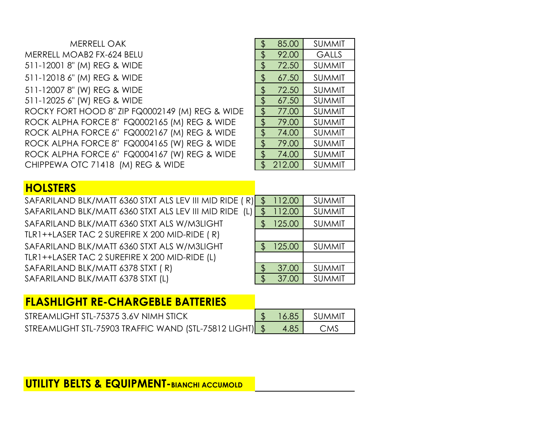| MERRELL OAK                                     |                      | 85.00  | <b>SUMMIT</b> |
|-------------------------------------------------|----------------------|--------|---------------|
| MERRELL MOAB2 FX-624 BELU                       |                      | 92.00  | <b>GALLS</b>  |
| 511-12001 8" (M) REG & WIDE                     | \$                   | 72.50  | <b>SUMMIT</b> |
| 511-12018 6" (M) REG & WIDE                     |                      | 67.50  | <b>SUMMIT</b> |
| 511-12007 8" (W) REG & WIDE                     |                      | 72.50  | <b>SUMMIT</b> |
| 511-12025 6" (W) REG & WIDE                     | $\frac{1}{2}$        | 67.50  | <b>SUMMIT</b> |
| ROCKY FORT HOOD 8" ZIP FQ0002149 (M) REG & WIDE | $\boldsymbol{\beta}$ | 77.00  | <b>SUMMIT</b> |
| ROCK ALPHA FORCE 8" FQ0002165 (M) REG & WIDE    | $\mathfrak{L}$       | 79.00  | <b>SUMMIT</b> |
| ROCK ALPHA FORCE 6" FQ0002167 (M) REG & WIDE    | $\mathfrak{L}$       | 74.00  | <b>SUMMIT</b> |
| ROCK ALPHA FORCE 8" FQ0004165 (W) REG & WIDE    | \$                   | 79.00  | <b>SUMMIT</b> |
| ROCK ALPHA FORCE 6" FQ0004167 (W) REG & WIDE    | $\mathfrak{L}$       | 74.00  | <b>SUMMIT</b> |
| CHIPPEWA OTC 71418 (M) REG & WIDE               |                      | 212.00 | <b>SUMMIT</b> |

| \$            | 85.00  | <b>SUMMIT</b> |
|---------------|--------|---------------|
| \$            | 92.00  | <b>GALLS</b>  |
| \$            | 72.50  | <b>SUMMIT</b> |
| \$            | 67.50  | SUMMIT        |
| \$            | 72.50  | <b>SUMMIT</b> |
| $\frac{1}{2}$ | 67.50  | <b>SUMMIT</b> |
| \$            | 77.00  | <b>SUMMIT</b> |
| \$            | 79.00  | <b>SUMMIT</b> |
| \$            | 74.00  | <b>SUMMIT</b> |
| \$            | 79.00  | SUMMIT        |
| \$            | 74.00  | SUMMIT        |
| $\mathbf{S}$  | 212.00 | <b>SUMMIT</b> |
|               |        |               |

# **HOLSTERS**

| SAFARILAND BLK/MATT 6360 STXT ALS LEV III MID RIDE (R) | 112.00 | <b>SUMMIT</b> |
|--------------------------------------------------------|--------|---------------|
| SAFARILAND BLK/MATT 6360 STXT ALS LEV III MID RIDE (L) | 112.00 | <b>SUMMIT</b> |
| SAFARILAND BLK/MATT 6360 STXT ALS W/M3LIGHT            | 125.00 | <b>SUMMIT</b> |
| TLR1++LASER TAC 2 SUREFIRE X 200 MID-RIDE (R)          |        |               |
| SAFARILAND BLK/MATT 6360 STXT ALS W/M3LIGHT            | 125.00 | <b>SUMMIT</b> |
| TLR1++LASER TAC 2 SUREFIRE X 200 MID-RIDE (L)          |        |               |
| SAFARILAND BLK/MATT 6378 STXT (R)                      | 37.00  | <b>SUMMIT</b> |
| SAFARILAND BLK/MATT 6378 STXT (L)                      | 37.00  | <b>SUMMIT</b> |
|                                                        |        |               |

# **FLASHLIGHT RE-CHARGEBLE BATTERIES**

| STREAMLIGHT STL-75375 3.6V NIMH STICK                   |      | $\frac{1}{2}$ 16.85 SUMMIT |
|---------------------------------------------------------|------|----------------------------|
| STREAMLIGHT STL-75903 TRAFFIC WAND (STL-75812 LIGHT) \$ | 4.85 | CMS                        |

# **UTILITY BELTS & EQUIPMENT-BIANCHI ACCUMOLD**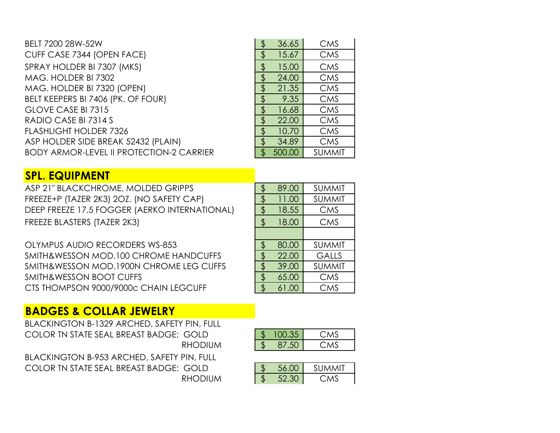| BELT 7200 28W-52W                               | 36.65  | <b>CMS</b>    |
|-------------------------------------------------|--------|---------------|
| CUFF CASE 7344 (OPEN FACE)                      | 15.67  | <b>CMS</b>    |
| SPRAY HOLDER BI 7307 (MKS)                      | 15.00  | <b>CMS</b>    |
| MAG. HOLDER BI 7302                             | 24.00  | <b>CMS</b>    |
| MAG. HOLDER BI 7320 (OPEN)                      | 21.35  | <b>CMS</b>    |
| BELT KEEPERS BI 7406 (PK. OF FOUR)              | 9.35   | <b>CMS</b>    |
| GLOVE CASE BI 7315                              | 16.68  | <b>CMS</b>    |
| RADIO CASE BI 7314 S                            | 22.00  | <b>CMS</b>    |
| <b>FLASHLIGHT HOLDER 7326</b>                   | 10.70  | <b>CMS</b>    |
| ASP HOLDER SIDE BREAK 52432 (PLAIN)             | 34.89  | <b>CMS</b>    |
| <b>BODY ARMOR-LEVEL II PROTECTION-2 CARRIER</b> | 500.00 | <b>SUMMIT</b> |

| \$             | 36.65  | <b>CMS</b>    |
|----------------|--------|---------------|
| $\frac{1}{2}$  | 15.67  | <b>CMS</b>    |
| $\frac{1}{2}$  | 15.00  | <b>CMS</b>    |
| \$             | 24.00  | <b>CMS</b>    |
| \$             | 21.35  | <b>CMS</b>    |
| \$             | 9.35   | <b>CMS</b>    |
| \$             | 16.68  | <b>CMS</b>    |
| $\frac{1}{2}$  | 22.00  | <b>CMS</b>    |
| \$             | 10.70  | <b>CMS</b>    |
| \$             | 34.89  | <b>CMS</b>    |
| $\mathfrak{L}$ | 500.00 | <b>SUMMIT</b> |

#### **SPL. EQUIPMENT**

ASP 21" BLACKCHROME, MOLDED GRIPPS FREEZE+P (TAZER 2K3) 2OZ. (NO SAFETY CAP) DEEP FREEZE 17.5 FOGGER (AERKO INTERNATIONAL) FREEZE BLASTERS (TAZER 2K3)

OLYMPUS AUDIO RECORDERS WS-853 SMITH&WESSON MOD.100 CHROME HANDCUFFS SMITH&WESSON MOD.1900N CHROME LEG CUFFS SMITH&WESSON BOOT CUFFS CTS THOMPSON 9000/9000c CHAIN LEGCUFF

| \$                       | 89.00 | <b>SUMMIT</b> |
|--------------------------|-------|---------------|
| \$                       | 11.00 | <b>SUMMIT</b> |
| \$                       | 18.55 | <b>CMS</b>    |
| $\sqrt[6]{\frac{1}{2}}$  | 18.00 | CMS           |
|                          |       |               |
| \$                       | 80.00 | <b>SUMMIT</b> |
| $\frac{1}{2}$            | 22.00 | <b>GALLS</b>  |
| \$                       | 39.00 | <b>SUMMIT</b> |
| \$                       | 65.00 | <b>CMS</b>    |
| $\overline{\mathcal{L}}$ | 61.00 | CMS           |

### **BADGES & COLLAR JEWELRY**

| <b>BLACKINGTON B-1329 ARCHED, SAFETY PIN, FULL</b> |                      |            |
|----------------------------------------------------|----------------------|------------|
| COLOR IN STATE SEAL BREAST BADGE: GOLD             | $\frac{1}{5}$ 100.35 | <b>CMS</b> |
| <b>RHODIUM</b>                                     | \$ 87.50             | <b>CMS</b> |

BLACKINGTON B-953 ARCHED, SAFETY PIN, FULL COLOR TN STATE SEAL BREAST BADGE: GOLD **RHODIUM** 

| 00.35 | UMS.  |
|-------|-------|
| 87.50 | C MAN |

| 56 OC         | <b>SUMMIT</b> |
|---------------|---------------|
| $\sim$ $\sim$ |               |